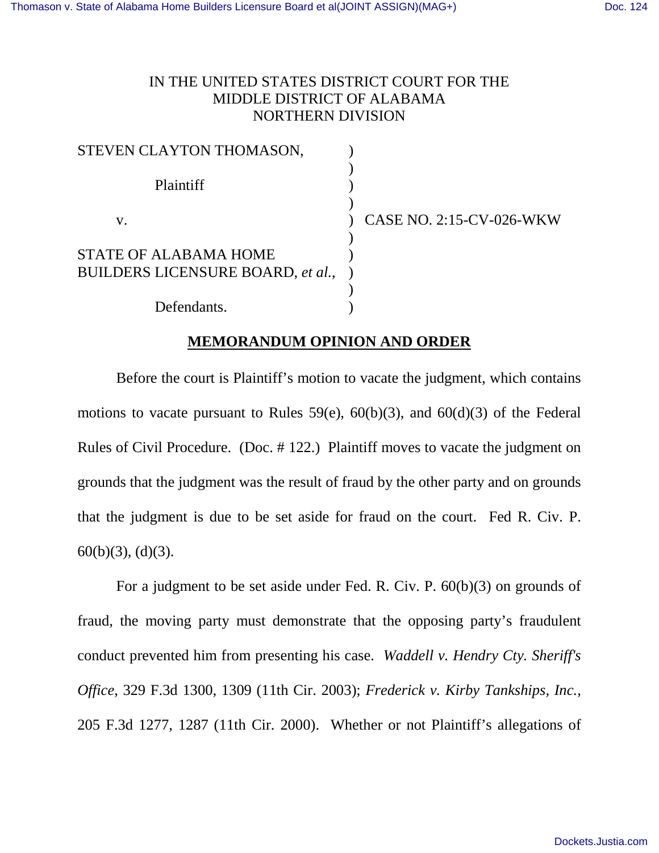## IN THE UNITED STATES DISTRICT COURT FOR THE MIDDLE DISTRICT OF ALABAMA NORTHERN DIVISION

| STEVEN CLAYTON THOMASON,                                          |                          |
|-------------------------------------------------------------------|--------------------------|
| Plaintiff                                                         |                          |
| V.                                                                | CASE NO. 2:15-CV-026-WKW |
| <b>STATE OF ALABAMA HOME</b><br>BUILDERS LICENSURE BOARD, et al., |                          |
| Defendants.                                                       |                          |

## **MEMORANDUM OPINION AND ORDER**

Before the court is Plaintiff's motion to vacate the judgment, which contains motions to vacate pursuant to Rules 59 $(e)$ , 60 $(b)(3)$ , and 60 $(d)(3)$  of the Federal Rules of Civil Procedure. (Doc. # 122.) Plaintiff moves to vacate the judgment on grounds that the judgment was the result of fraud by the other party and on grounds that the judgment is due to be set aside for fraud on the court. Fed R. Civ. P. 60(b)(3), (d)(3).

For a judgment to be set aside under Fed. R. Civ. P. 60(b)(3) on grounds of fraud, the moving party must demonstrate that the opposing party's fraudulent conduct prevented him from presenting his case. *Waddell v. Hendry Cty. Sheriff's Office*, 329 F.3d 1300, 1309 (11th Cir. 2003); *Frederick v. Kirby Tankships, Inc.,* 205 F.3d 1277, 1287 (11th Cir. 2000). Whether or not Plaintiff's allegations of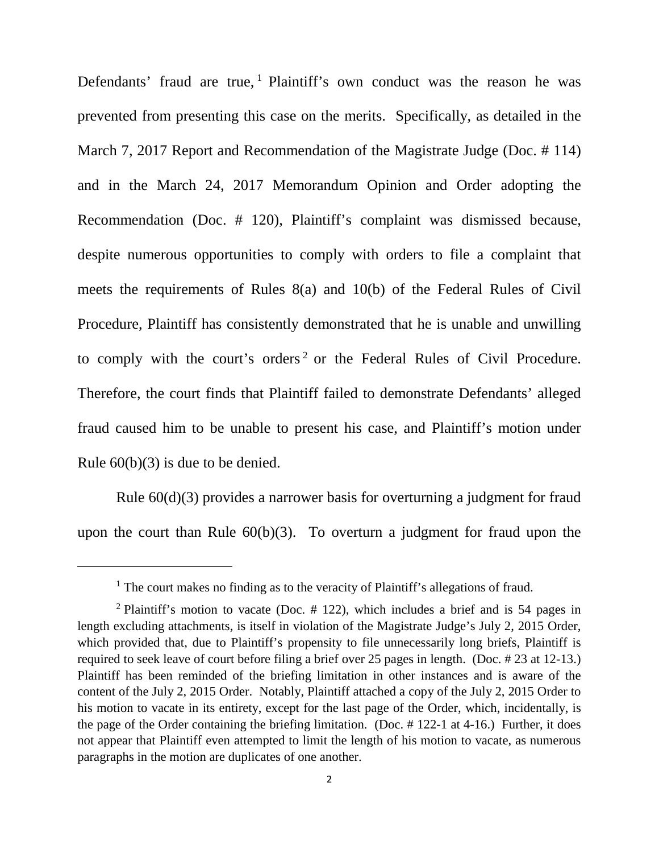Defendants' fraud are true,  $1$  Plaintiff's own conduct was the reason he was prevented from presenting this case on the merits. Specifically, as detailed in the March 7, 2017 Report and Recommendation of the Magistrate Judge (Doc. # 114) and in the March 24, 2017 Memorandum Opinion and Order adopting the Recommendation (Doc. # 120), Plaintiff's complaint was dismissed because, despite numerous opportunities to comply with orders to file a complaint that meets the requirements of Rules 8(a) and 10(b) of the Federal Rules of Civil Procedure, Plaintiff has consistently demonstrated that he is unable and unwilling to comply with the court's orders<sup>[2](#page-1-1)</sup> or the Federal Rules of Civil Procedure. Therefore, the court finds that Plaintiff failed to demonstrate Defendants' alleged fraud caused him to be unable to present his case, and Plaintiff's motion under Rule 60(b)(3) is due to be denied.

Rule 60(d)(3) provides a narrower basis for overturning a judgment for fraud upon the court than Rule 60(b)(3). To overturn a judgment for fraud upon the

 $\overline{a}$ 

<sup>&</sup>lt;sup>1</sup> The court makes no finding as to the veracity of Plaintiff's allegations of fraud.

<span id="page-1-1"></span><span id="page-1-0"></span><sup>&</sup>lt;sup>2</sup> Plaintiff's motion to vacate (Doc.  $\#$  122), which includes a brief and is 54 pages in length excluding attachments, is itself in violation of the Magistrate Judge's July 2, 2015 Order, which provided that, due to Plaintiff's propensity to file unnecessarily long briefs, Plaintiff is required to seek leave of court before filing a brief over 25 pages in length. (Doc. # 23 at 12-13.) Plaintiff has been reminded of the briefing limitation in other instances and is aware of the content of the July 2, 2015 Order. Notably, Plaintiff attached a copy of the July 2, 2015 Order to his motion to vacate in its entirety, except for the last page of the Order, which, incidentally, is the page of the Order containing the briefing limitation. (Doc. # 122-1 at 4-16.) Further, it does not appear that Plaintiff even attempted to limit the length of his motion to vacate, as numerous paragraphs in the motion are duplicates of one another.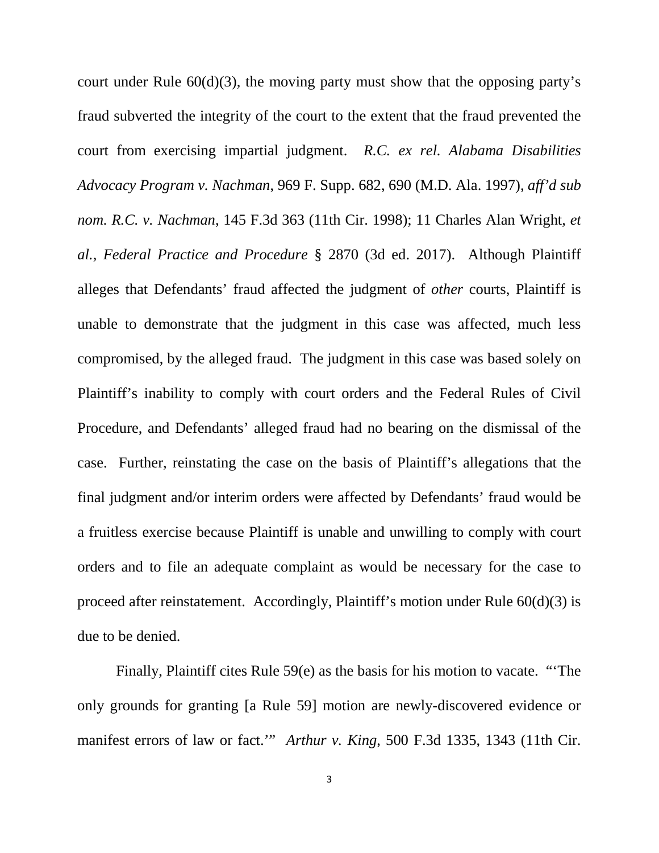court under Rule  $60(d)(3)$ , the moving party must show that the opposing party's fraud subverted the integrity of the court to the extent that the fraud prevented the court from exercising impartial judgment. *R.C. ex rel. Alabama Disabilities Advocacy Program v. Nachman*, 969 F. Supp. 682, 690 (M.D. Ala. 1997), *aff'd sub nom. R.C. v. Nachman*, 145 F.3d 363 (11th Cir. 1998); 11 Charles Alan Wright, *et al.*, *Federal Practice and Procedure* § 2870 (3d ed. 2017). Although Plaintiff alleges that Defendants' fraud affected the judgment of *other* courts, Plaintiff is unable to demonstrate that the judgment in this case was affected, much less compromised, by the alleged fraud. The judgment in this case was based solely on Plaintiff's inability to comply with court orders and the Federal Rules of Civil Procedure, and Defendants' alleged fraud had no bearing on the dismissal of the case. Further, reinstating the case on the basis of Plaintiff's allegations that the final judgment and/or interim orders were affected by Defendants' fraud would be a fruitless exercise because Plaintiff is unable and unwilling to comply with court orders and to file an adequate complaint as would be necessary for the case to proceed after reinstatement. Accordingly, Plaintiff's motion under Rule 60(d)(3) is due to be denied.

Finally, Plaintiff cites Rule 59(e) as the basis for his motion to vacate. "'The only grounds for granting [a Rule 59] motion are newly-discovered evidence or manifest errors of law or fact.'" *Arthur v. King*, 500 F.3d 1335, 1343 (11th Cir.